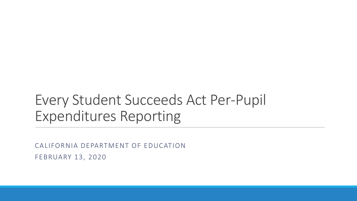#### Every Student Succeeds Act Per-Pupil Expenditures Reporting

CALIFORNIA DEPARTMENT OF EDUCATION FEBRUARY 13, 2020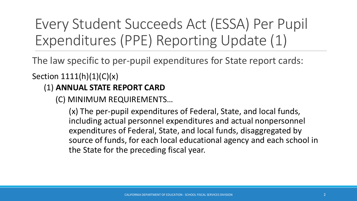Every Student Succeeds Act (ESSA) Per Pupil Expenditures (PPE) Reporting Update (1)

The law specific to per-pupil expenditures for State report cards:

Section  $1111(h)(1)(C)(x)$ 

#### (1) **ANNUAL STATE REPORT CARD**

(C) MINIMUM REQUIREMENTS…

(x) The per-pupil expenditures of Federal, State, and local funds, including actual personnel expenditures and actual nonpersonnel expenditures of Federal, State, and local funds, disaggregated by source of funds, for each local educational agency and each school in the State for the preceding fiscal year.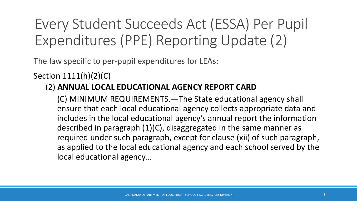Every Student Succeeds Act (ESSA) Per Pupil Expenditures (PPE) Reporting Update (2)

The law specific to per-pupil expenditures for LEAs:

Section 1111(h)(2)(C)

#### (2) **ANNUAL LOCAL EDUCATIONAL AGENCY REPORT CARD**

(C) MINIMUM REQUIREMENTS.—The State educational agency shall ensure that each local educational agency collects appropriate data and includes in the local educational agency's annual report the information described in paragraph (1)(C), disaggregated in the same manner as required under such paragraph, except for clause (xii) of such paragraph, as applied to the local educational agency and each school served by the local educational agency...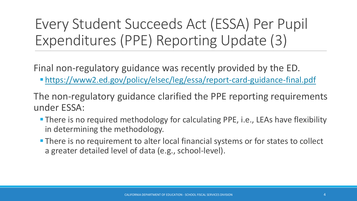#### Every Student Succeeds Act (ESSA) Per Pupil Expenditures (PPE) Reporting Update (3)

Final non-regulatory guidance was recently provided by the ED.

- <https://www2.ed.gov/policy/elsec/leg/essa/report-card-guidance-final.pdf>
- The non-regulatory guidance clarified the PPE reporting requirements under ESSA:
	- **There is no required methodology for calculating PPE, i.e., LEAs have flexibility** in determining the methodology.
	- **There is no requirement to alter local financial systems or for states to collect** a greater detailed level of data (e.g., school-level).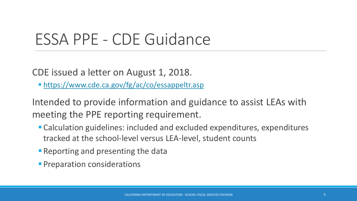### ESSA PPE - CDE Guidance

CDE issued a letter on August 1, 2018.

**Intres://www.cde.ca.gov/fg/ac/co/essappeltr.asp** 

Intended to provide information and guidance to assist LEAs with meeting the PPE reporting requirement.

- Calculation guidelines: included and excluded expenditures, expenditures tracked at the school-level versus LEA-level, student counts
- **Reporting and presenting the data**
- **Preparation considerations**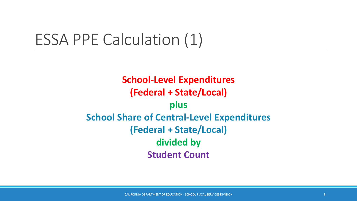## ESSA PPE Calculation (1)

**School-Level Expenditures (Federal + State/Local) plus School Share of Central-Level Expenditures (Federal + State/Local) divided by Student Count**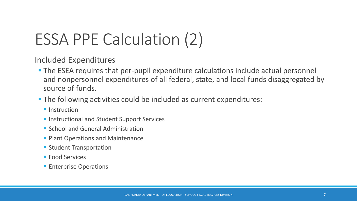# ESSA PPE Calculation (2)

Included Expenditures

- **The ESEA requires that per-pupil expenditure calculations include actual personnel** and nonpersonnel expenditures of all federal, state, and local funds disaggregated by source of funds.
- The following activities could be included as current expenditures:
	- **<u>■ Instruction</u>**
	- **Exercise 1 Instructional and Student Support Services**
	- School and General Administration
	- **Plant Operations and Maintenance**
	- Student Transportation
	- Food Services
	- **Enterprise Operations**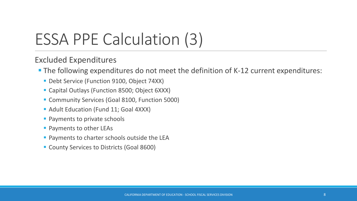# ESSA PPE Calculation (3)

#### Excluded Expenditures

- The following expenditures do not meet the definition of K-12 current expenditures:
	- Debt Service (Function 9100, Object 74XX)
	- Capital Outlays (Function 8500; Object 6XXX)
	- Community Services (Goal 8100, Function 5000)
	- Adult Education (Fund 11; Goal 4XXX)
	- Payments to private schools
	- **Payments to other LEAs**
	- **Payments to charter schools outside the LEA**
	- County Services to Districts (Goal 8600)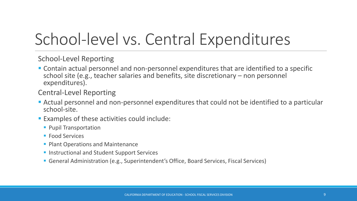# School-level vs. Central Expenditures

School-Level Reporting

■ Contain actual personnel and non-personnel expenditures that are identified to a specific school site (e.g., teacher salaries and benefits, site discretionary – non personnel expenditures).

Central-Level Reporting

- **EXPENCE Actual personnel and non-personnel expenditures that could not be identified to a particular** school-site.
- Examples of these activities could include:
	- Pupil Transportation
	- Food Services
	- Plant Operations and Maintenance
	- Instructional and Student Support Services
	- General Administration (e.g., Superintendent's Office, Board Services, Fiscal Services)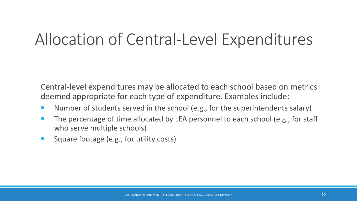# Allocation of Central-Level Expenditures

Central-level expenditures may be allocated to each school based on metrics deemed appropriate for each type of expenditure. Examples include:

- **E** Number of students served in the school (e.g., for the superintendents salary)
- The percentage of time allocated by LEA personnel to each school (e.g., for staff who serve multiple schools)
- Square footage (e.g., for utility costs)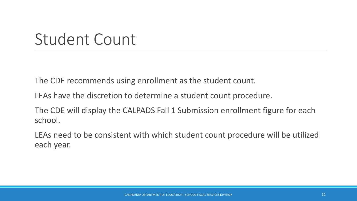### Student Count

The CDE recommends using enrollment as the student count.

LEAs have the discretion to determine a student count procedure.

The CDE will display the CALPADS Fall 1 Submission enrollment figure for each school.

LEAs need to be consistent with which student count procedure will be utilized each year.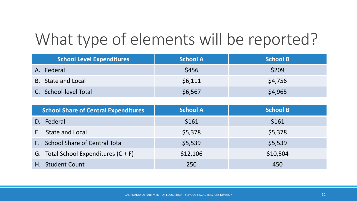# What type of elements will be reported?

| <b>School Level Expenditures</b> | <b>School A</b> | <b>School B</b> |
|----------------------------------|-----------------|-----------------|
| A. Federal                       | \$456           | \$209           |
| B. State and Local               | \$6,111         | \$4,756         |
| C. School-level Total            | \$6,567         | \$4,965         |

| <b>School Share of Central Expenditures</b> | <b>School A</b> | <b>School B</b> |
|---------------------------------------------|-----------------|-----------------|
| D. Federal                                  | \$161           | \$161           |
| <b>State and Local</b><br>E.                | \$5,378         | \$5,378         |
| F. School Share of Central Total            | \$5,539         | \$5,539         |
| G. Total School Expenditures $(C + F)$      | \$12,106        | \$10,504        |
| H. Student Count                            | 250             | 450             |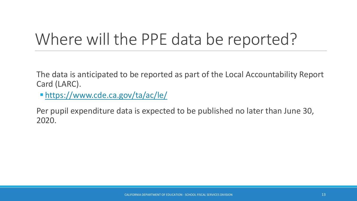## Where will the PPE data be reported?

The data is anticipated to be reported as part of the Local Accountability Report Card (LARC).

▪ <https://www.cde.ca.gov/ta/ac/le/>

Per pupil expenditure data is expected to be published no later than June 30, 2020.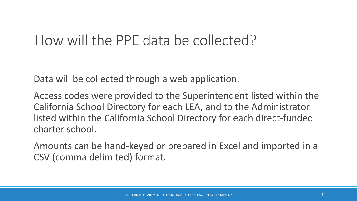#### How will the PPE data be collected?

Data will be collected through a web application.

Access codes were provided to the Superintendent listed within the California School Directory for each LEA, and to the Administrator listed within the California School Directory for each direct-funded charter school.

Amounts can be hand-keyed or prepared in Excel and imported in a CSV (comma delimited) format.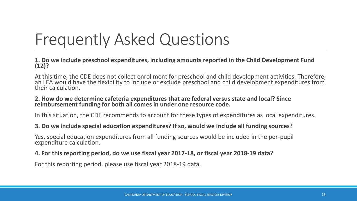# Frequently Asked Questions

**1. Do we include preschool expenditures, including amounts reported in the Child Development Fund (12)?**

At this time, the CDE does not collect enrollment for preschool and child development activities. Therefore, an LEA would have the flexibility to include or exclude preschool and child development expenditures from their calculation.

#### **2. How do we determine cafeteria expenditures that are federal versus state and local? Since reimbursement funding for both all comes in under one resource code.**

In this situation, the CDE recommends to account for these types of expenditures as local expenditures.

#### **3. Do we include special education expenditures? If so, would we include all funding sources?**

Yes, special education expenditures from all funding sources would be included in the per-pupil expenditure calculation.

#### **4. For this reporting period, do we use fiscal year 2017-18, or fiscal year 2018-19 data?**

For this reporting period, please use fiscal year 2018-19 data.